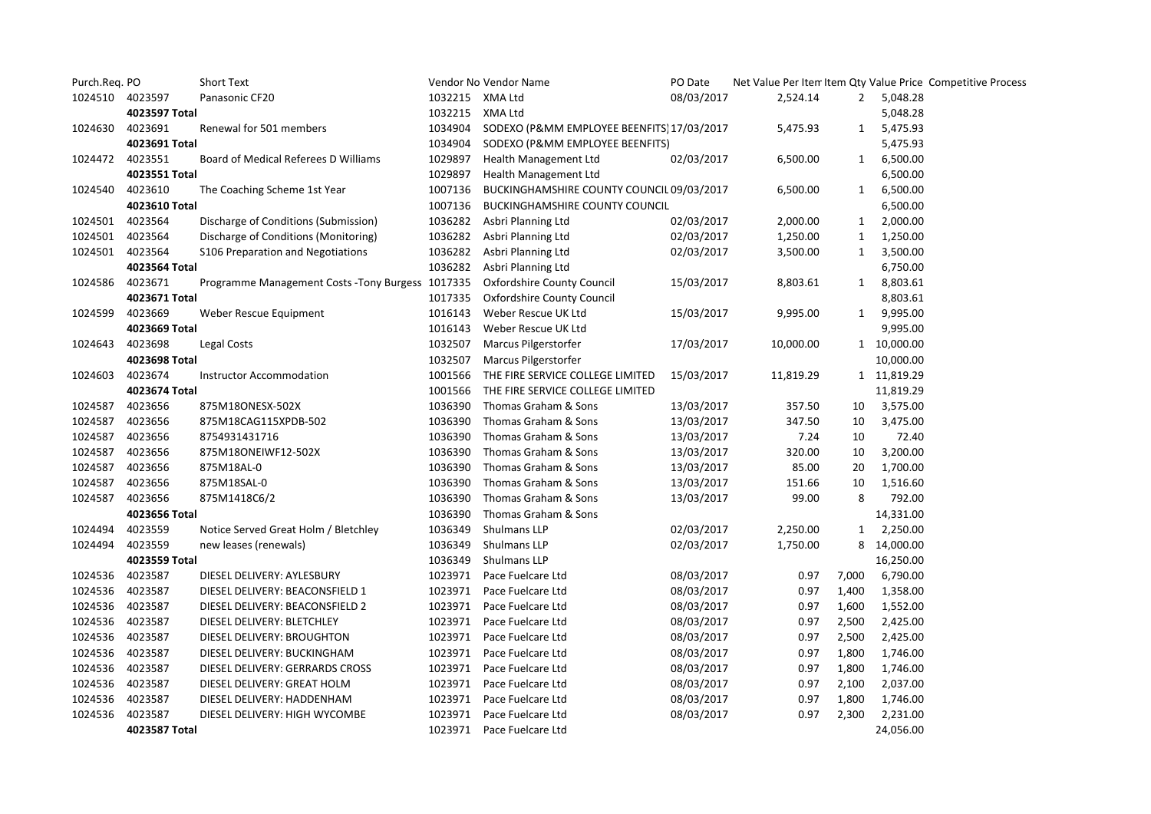| Purch.Req. PO |               | <b>Short Text</b>                                 |                 | Vendor No Vendor Name                     |            |           |              |             | Net Value Per Item Item Qty Value Price Competitive Process |
|---------------|---------------|---------------------------------------------------|-----------------|-------------------------------------------|------------|-----------|--------------|-------------|-------------------------------------------------------------|
| 1024510       | 4023597       | Panasonic CF20                                    | 1032215 XMA Ltd |                                           | 08/03/2017 | 2,524.14  |              | 2 5,048.28  |                                                             |
|               | 4023597 Total |                                                   | 1032215         | XMA Ltd                                   |            |           |              | 5,048.28    |                                                             |
| 1024630       | 4023691       | Renewal for 501 members                           | 1034904         | SODEXO (P&MM EMPLOYEE BEENFITS 17/03/2017 |            | 5,475.93  | $\mathbf{1}$ | 5,475.93    |                                                             |
|               | 4023691 Total |                                                   | 1034904         | SODEXO (P&MM EMPLOYEE BEENFITS)           |            |           |              | 5,475.93    |                                                             |
| 1024472       | 4023551       | Board of Medical Referees D Williams              | 1029897         | Health Management Ltd                     | 02/03/2017 | 6,500.00  | 1            | 6,500.00    |                                                             |
|               | 4023551 Total |                                                   | 1029897         | Health Management Ltd                     |            |           |              | 6,500.00    |                                                             |
| 1024540       | 4023610       | The Coaching Scheme 1st Year                      | 1007136         | BUCKINGHAMSHIRE COUNTY COUNCIL 09/03/2017 |            | 6,500.00  | $\mathbf{1}$ | 6,500.00    |                                                             |
|               | 4023610 Total |                                                   | 1007136         | <b>BUCKINGHAMSHIRE COUNTY COUNCIL</b>     |            |           |              | 6,500.00    |                                                             |
| 1024501       | 4023564       | Discharge of Conditions (Submission)              | 1036282         | Asbri Planning Ltd                        | 02/03/2017 | 2,000.00  | $\mathbf{1}$ | 2,000.00    |                                                             |
| 1024501       | 4023564       | Discharge of Conditions (Monitoring)              | 1036282         | Asbri Planning Ltd                        | 02/03/2017 | 1,250.00  | 1            | 1,250.00    |                                                             |
| 1024501       | 4023564       | S106 Preparation and Negotiations                 | 1036282         | Asbri Planning Ltd                        | 02/03/2017 | 3,500.00  | 1            | 3,500.00    |                                                             |
|               | 4023564 Total |                                                   | 1036282         | Asbri Planning Ltd                        |            |           |              | 6,750.00    |                                                             |
| 1024586       | 4023671       | Programme Management Costs - Tony Burgess 1017335 |                 | Oxfordshire County Council                | 15/03/2017 | 8,803.61  |              | 1 8,803.61  |                                                             |
|               | 4023671 Total |                                                   | 1017335         | Oxfordshire County Council                |            |           |              | 8,803.61    |                                                             |
| 1024599       | 4023669       | Weber Rescue Equipment                            | 1016143         | Weber Rescue UK Ltd                       | 15/03/2017 | 9,995.00  | $\mathbf{1}$ | 9,995.00    |                                                             |
|               | 4023669 Total |                                                   | 1016143         | Weber Rescue UK Ltd                       |            |           |              | 9,995.00    |                                                             |
| 1024643       | 4023698       | Legal Costs                                       | 1032507         | Marcus Pilgerstorfer                      | 17/03/2017 | 10,000.00 |              | 1 10,000.00 |                                                             |
|               | 4023698 Total |                                                   | 1032507         | Marcus Pilgerstorfer                      |            |           |              | 10,000.00   |                                                             |
| 1024603       | 4023674       | Instructor Accommodation                          | 1001566         | THE FIRE SERVICE COLLEGE LIMITED          | 15/03/2017 | 11,819.29 |              | 1 11,819.29 |                                                             |
|               | 4023674 Total |                                                   | 1001566         | THE FIRE SERVICE COLLEGE LIMITED          |            |           |              | 11,819.29   |                                                             |
| 1024587       | 4023656       | 875M18ONESX-502X                                  | 1036390         | Thomas Graham & Sons                      | 13/03/2017 | 357.50    | 10           | 3,575.00    |                                                             |
| 1024587       | 4023656       | 875M18CAG115XPDB-502                              | 1036390         | Thomas Graham & Sons                      | 13/03/2017 | 347.50    | 10           | 3,475.00    |                                                             |
| 1024587       | 4023656       | 8754931431716                                     | 1036390         | Thomas Graham & Sons                      | 13/03/2017 | 7.24      | 10           | 72.40       |                                                             |
| 1024587       | 4023656       | 875M18ONEIWF12-502X                               | 1036390         | Thomas Graham & Sons                      | 13/03/2017 | 320.00    | 10           | 3,200.00    |                                                             |
| 1024587       | 4023656       | 875M18AL-0                                        | 1036390         | Thomas Graham & Sons                      | 13/03/2017 | 85.00     | 20           | 1,700.00    |                                                             |
| 1024587       | 4023656       | 875M18SAL-0                                       | 1036390         | Thomas Graham & Sons                      | 13/03/2017 | 151.66    | 10           | 1,516.60    |                                                             |
| 1024587       | 4023656       | 875M1418C6/2                                      | 1036390         | Thomas Graham & Sons                      | 13/03/2017 | 99.00     | 8            | 792.00      |                                                             |
|               | 4023656 Total |                                                   | 1036390         | Thomas Graham & Sons                      |            |           |              | 14,331.00   |                                                             |
| 1024494       | 4023559       | Notice Served Great Holm / Bletchley              | 1036349         | Shulmans LLP                              | 02/03/2017 | 2,250.00  |              | 1 2,250.00  |                                                             |
| 1024494       | 4023559       | new leases (renewals)                             | 1036349         | Shulmans LLP                              | 02/03/2017 | 1,750.00  |              | 8 14,000.00 |                                                             |
|               | 4023559 Total |                                                   | 1036349         | Shulmans LLP                              |            |           |              | 16,250.00   |                                                             |
| 1024536       | 4023587       | DIESEL DELIVERY: AYLESBURY                        | 1023971         | Pace Fuelcare Ltd                         | 08/03/2017 | 0.97      | 7,000        | 6,790.00    |                                                             |
| 1024536       | 4023587       | DIESEL DELIVERY: BEACONSFIELD 1                   | 1023971         | Pace Fuelcare Ltd                         | 08/03/2017 | 0.97      | 1,400        | 1,358.00    |                                                             |
| 1024536       | 4023587       | DIESEL DELIVERY: BEACONSFIELD 2                   | 1023971         | Pace Fuelcare Ltd                         | 08/03/2017 | 0.97      | 1,600        | 1,552.00    |                                                             |
| 1024536       | 4023587       | DIESEL DELIVERY: BLETCHLEY                        | 1023971         | Pace Fuelcare Ltd                         | 08/03/2017 | 0.97      | 2,500        | 2,425.00    |                                                             |
| 1024536       | 4023587       | DIESEL DELIVERY: BROUGHTON                        | 1023971         | Pace Fuelcare Ltd                         | 08/03/2017 | 0.97      | 2,500        | 2,425.00    |                                                             |
| 1024536       | 4023587       | DIESEL DELIVERY: BUCKINGHAM                       | 1023971         | Pace Fuelcare Ltd                         | 08/03/2017 | 0.97      | 1,800        | 1,746.00    |                                                             |
| 1024536       | 4023587       | DIESEL DELIVERY: GERRARDS CROSS                   | 1023971         | Pace Fuelcare Ltd                         | 08/03/2017 | 0.97      | 1,800        | 1,746.00    |                                                             |
| 1024536       | 4023587       | DIESEL DELIVERY: GREAT HOLM                       | 1023971         | Pace Fuelcare Ltd                         | 08/03/2017 | 0.97      | 2,100        | 2,037.00    |                                                             |
| 1024536       | 4023587       | DIESEL DELIVERY: HADDENHAM                        | 1023971         | Pace Fuelcare Ltd                         | 08/03/2017 | 0.97      | 1,800        | 1,746.00    |                                                             |
| 1024536       | 4023587       | DIESEL DELIVERY: HIGH WYCOMBE                     | 1023971         | Pace Fuelcare Ltd                         | 08/03/2017 | 0.97      | 2,300        | 2,231.00    |                                                             |
|               | 4023587 Total |                                                   | 1023971         | Pace Fuelcare Ltd                         |            |           |              | 24,056.00   |                                                             |